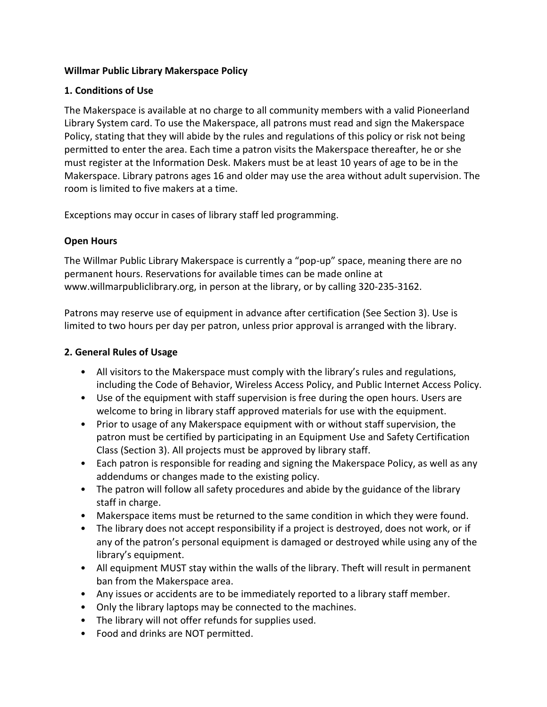## **Willmar Public Library Makerspace Policy**

## **1. Conditions of Use**

The Makerspace is available at no charge to all community members with a valid Pioneerland Library System card. To use the Makerspace, all patrons must read and sign the Makerspace Policy, stating that they will abide by the rules and regulations of this policy or risk not being permitted to enter the area. Each time a patron visits the Makerspace thereafter, he or she must register at the Information Desk. Makers must be at least 10 years of age to be in the Makerspace. Library patrons ages 16 and older may use the area without adult supervision. The room is limited to five makers at a time.

Exceptions may occur in cases of library staff led programming.

# **Open Hours**

The Willmar Public Library Makerspace is currently a "pop-up" space, meaning there are no permanent hours. Reservations for available times can be made online at www.willmarpubliclibrary.org, in person at the library, or by calling 320-235-3162.

Patrons may reserve use of equipment in advance after certification (See Section 3). Use is limited to two hours per day per patron, unless prior approval is arranged with the library.

## **2. General Rules of Usage**

- All visitors to the Makerspace must comply with the library's rules and regulations, including the Code of Behavior, Wireless Access Policy, and Public Internet Access Policy.
- Use of the equipment with staff supervision is free during the open hours. Users are welcome to bring in library staff approved materials for use with the equipment.
- Prior to usage of any Makerspace equipment with or without staff supervision, the patron must be certified by participating in an Equipment Use and Safety Certification Class (Section 3). All projects must be approved by library staff.
- Each patron is responsible for reading and signing the Makerspace Policy, as well as any addendums or changes made to the existing policy.
- The patron will follow all safety procedures and abide by the guidance of the library staff in charge.
- Makerspace items must be returned to the same condition in which they were found.
- The library does not accept responsibility if a project is destroyed, does not work, or if any of the patron's personal equipment is damaged or destroyed while using any of the library's equipment.
- All equipment MUST stay within the walls of the library. Theft will result in permanent ban from the Makerspace area.
- Any issues or accidents are to be immediately reported to a library staff member.
- Only the library laptops may be connected to the machines.
- The library will not offer refunds for supplies used.
- Food and drinks are NOT permitted.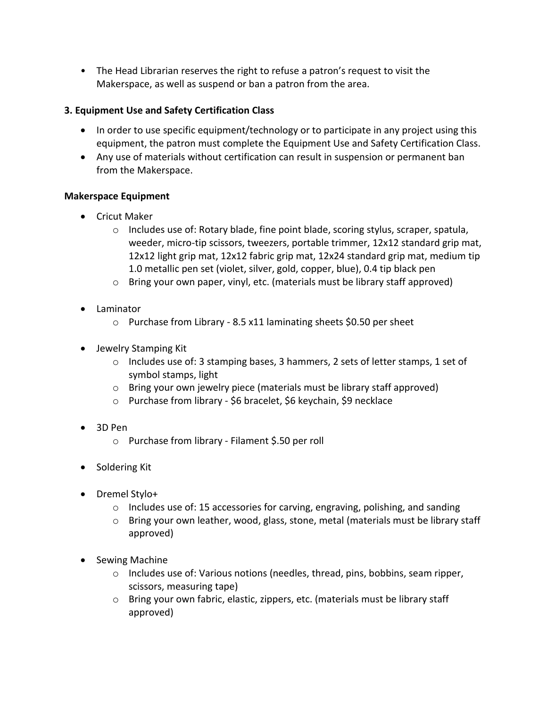• The Head Librarian reserves the right to refuse a patron's request to visit the Makerspace, as well as suspend or ban a patron from the area.

# **3. Equipment Use and Safety Certification Class**

- In order to use specific equipment/technology or to participate in any project using this equipment, the patron must complete the Equipment Use and Safety Certification Class.
- Any use of materials without certification can result in suspension or permanent ban from the Makerspace.

## **Makerspace Equipment**

- Cricut Maker
	- $\circ$  Includes use of: Rotary blade, fine point blade, scoring stylus, scraper, spatula, weeder, micro-tip scissors, tweezers, portable trimmer, 12x12 standard grip mat, 12x12 light grip mat, 12x12 fabric grip mat, 12x24 standard grip mat, medium tip 1.0 metallic pen set (violet, silver, gold, copper, blue), 0.4 tip black pen
	- $\circ$  Bring your own paper, vinyl, etc. (materials must be library staff approved)
- Laminator
	- $\circ$  Purchase from Library 8.5 x11 laminating sheets \$0.50 per sheet
- Jewelry Stamping Kit
	- $\circ$  Includes use of: 3 stamping bases, 3 hammers, 2 sets of letter stamps, 1 set of symbol stamps, light
	- o Bring your own jewelry piece (materials must be library staff approved)
	- o Purchase from library \$6 bracelet, \$6 keychain, \$9 necklace
- 3D Pen
	- o Purchase from library Filament \$.50 per roll
- Soldering Kit
- Dremel Stylo+
	- $\circ$  Includes use of: 15 accessories for carving, engraving, polishing, and sanding
	- $\circ$  Bring your own leather, wood, glass, stone, metal (materials must be library staff approved)
- Sewing Machine
	- $\circ$  Includes use of: Various notions (needles, thread, pins, bobbins, seam ripper, scissors, measuring tape)
	- o Bring your own fabric, elastic, zippers, etc. (materials must be library staff approved)